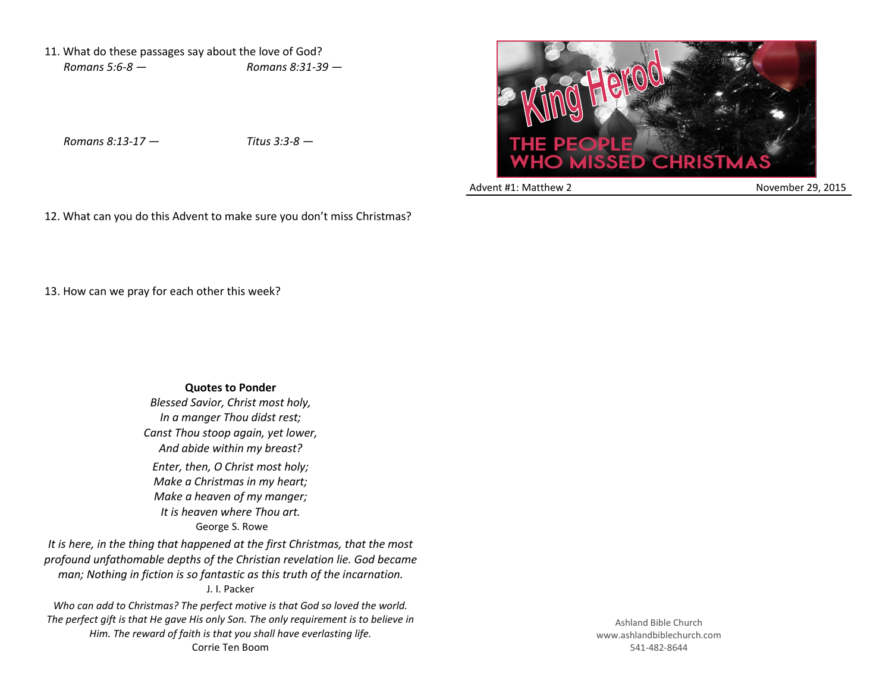11. What do these passages say about the love of God? *Romans 5:6-8 — Romans 8:31-39 —*

*Romans 8:13-17 — Titus 3:3-8 —*

13. How can we pray for each other this week?

12. What can you do this Advent to make sure you don't miss Christmas?



Advent #1: Matthew 2 November 29, 2015

**Quotes to Ponder** *Blessed Savior, Christ most holy, In a manger Thou didst rest; Canst Thou stoop again, yet lower, And abide within my breast? Enter, then, O Christ most holy; Make a Christmas in my heart; Make a heaven of my manger; It is heaven where Thou art.* George S. Rowe

*It is here, in the thing that happened at the first Christmas, that the most profound unfathomable depths of the Christian revelation lie. God became man; Nothing in fiction is so fantastic as this truth of the incarnation.* J. I. Packer

*Who can add to Christmas? The perfect motive is that God so loved the world. The perfect gift is that He gave His only Son. The only requirement is to believe in Him. The reward of faith is that you shall have everlasting life.* Corrie Ten Boom

Ashland Bible Church www.ashlandbiblechurch.com 541-482-8644